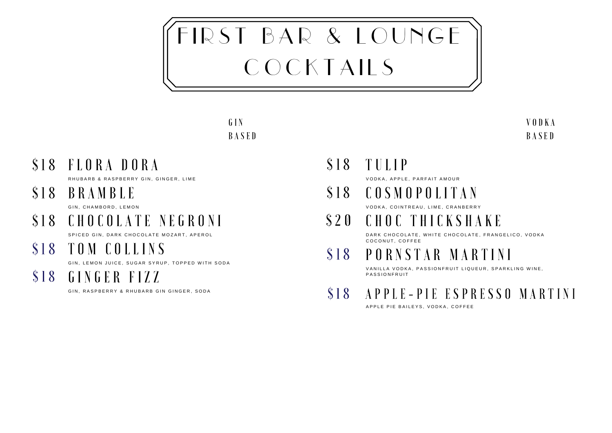# FIRST BAR & LOUNGE COCKTAILS

### G I N **BASED**

\$18 FLORA DORA

R HUBARB & RASPBERRY GIN, GINGER, LIME

B R A M B L E \$ 1 8

GIN, CHAMBORD, LEMON

C H O C O L A T E N E G R O N I \$ 1 8

SPICED GIN, DARK CHOCOLATE MOZART, APEROL

T O M C O L L I N S \$ 1 8

GIN LEMON JUICE SUGAR SYRUP TOPPED WITH SODA

GINGER FIZZ \$ 1 8

GIN, RASPBERRY & RHUBARB GIN GINGER, SODA

\$18 TULIP

VODKA, APPLE, PARFAIT AMOUR

C O S M O P O L I T A N \$ 1 8

VODKA, COINTREAU, LIME, CRANBERRY

C H O C T H I C K S H A K E \$ 2 0

DARK CHOCOLATE, WHITE CHOCOLATE, FRANGELICO, VODKA COCONUT, COFFEE

P O R N S T A R M A R T I N I \$ 1 8

VANILLA VODKA, PASSIONFRUIT LIQUEUR, SPARKLING WINE, PASSION FRUIT

A P P L E - P I E E S P R E S S O M A R T I N I \$ 1 8

A P P L E P I E B A I L E Y S. V O D K A , C O F F E E